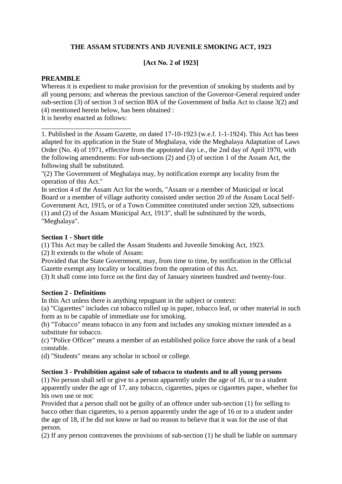# **THE ASSAM STUDENTS AND JUVENILE SMOKING ACT, 1923**

## **[Act No. 2 of 1923]**

## **PREAMBLE**

Whereas it is expedient to make provision for the prevention of smoking by students and by all young persons; and whereas the previous sanction of the Governor-General required under sub-section (3) of section 3 of section 80A of the Government of India Act to clause 3(2) and (4) mentioned herein below, has been obtained :

It is hereby enacted as follows: \_\_\_\_\_\_\_\_\_\_\_\_\_\_\_\_\_\_\_\_\_\_\_\_\_\_

1. Published in the Assam Gazette, on dated 17-10-1923 (w.e.f. 1-1-1924). This Act has been adapted for its application in the State of Meghalaya, vide the Meghalaya Adaptation of Laws Order (No. 4) of 1971, effective from the appointed day i.e., the 2nd day of April 1970, with the following amendments: For sub-sections (2) and (3) of section 1 of the Assam Act, the following shall be substituted.

"(2) The Government of Meghalaya may, by notification exempt any locality from the operation of this Act."

In section 4 of the Assam Act for the words, "Assam or a member of Municipal or local Board or a member of village authority consisted under section 20 of the Assam Local Self-Government Act, 1915, or of a Town Committee constituted under section 329, subsections (1) and (2) of the Assam Municipal Act, 1913", shall be substituted by the words, "Meghalaya".

### **Section 1 - Short title**

(1) This Act may be called the Assam Students and Juvenile Smoking Act, 1923.

(2) It extends to the whole of Assam:

Provided that the State Government, may, from time to time, by notification in the Official Gazette exempt any locality or localities from the operation of this Act.

(3) It shall come into force on the first day of January nineteen hundred and twenty-four.

### **Section 2 - Definitions**

In this Act unless there is anything repugnant in the subject or context:

(a) "Cigarettes" includes cut tobacco rolled up in paper, tobacco leaf, or other material in such form as to be capable of immediate use for smoking.

(b) "Tobacco" means tobacco in any form and includes any smoking mixture intended as a substitute for tobacco.

(c) "Police Officer" means a member of an established police force above the rank of a head constable.

(d) "Students" means any scholar in school or college.

### **Section 3 - Prohibition against sale of tobacco to students and to all young persons**

(1) No person shall sell or give to a person apparently under the age of 16, or to a student apparently under the age of 17, any tobacco, cigarettes, pipes or cigarettes paper, whether for his own use or not:

Provided that a person shall not be guilty of an offence under sub-section (1) for selling to bacco other than cigarettes, to a person apparently under the age of 16 or to a student under the age of 18, if he did not know or had no reason to believe that it was for the use of that person.

(2) If any person contravenes the provisions of sub-section (1) he shall be liable on summary